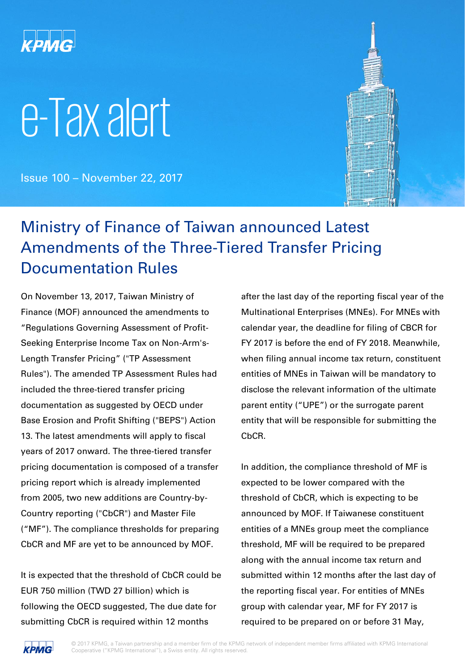

# e-Tax alert

Issue 100 – November 22, 2017



### Ministry of Finance of Taiwan announced Latest Amendments of the Three-Tiered Transfer Pricing Documentation Rules

On November 13, 2017, Taiwan Ministry of Finance (MOF) announced the amendments to "Regulations Governing Assessment of Profit-Seeking Enterprise Income Tax on Non-Arm's-Length Transfer Pricing" ("TP Assessment Rules"). The amended TP Assessment Rules had included the three-tiered transfer pricing documentation as suggested by OECD under Base Erosion and Profit Shifting ("BEPS") Action 13. The latest amendments will apply to fiscal years of 2017 onward. The three-tiered transfer pricing documentation is composed of a transfer pricing report which is already implemented from 2005, two new additions are Country-by-Country reporting ("CbCR") and Master File ("MF"). The compliance thresholds for preparing CbCR and MF are yet to be announced by MOF.

It is expected that the threshold of CbCR could be EUR 750 million (TWD 27 billion) which is following the OECD suggested, The due date for submitting CbCR is required within 12 months

after the last day of the reporting fiscal year of the Multinational Enterprises (MNEs). For MNEs with calendar year, the deadline for filing of CBCR for FY 2017 is before the end of FY 2018. Meanwhile, when filing annual income tax return, constituent entities of MNEs in Taiwan will be mandatory to disclose the relevant information of the ultimate parent entity ("UPE") or the surrogate parent entity that will be responsible for submitting the CbCR.

In addition, the compliance threshold of MF is expected to be lower compared with the threshold of CbCR, which is expecting to be announced by MOF. If Taiwanese constituent entities of a MNEs group meet the compliance threshold, MF will be required to be prepared along with the annual income tax return and submitted within 12 months after the last day of the reporting fiscal year. For entities of MNEs group with calendar year, MF for FY 2017 is required to be prepared on or before 31 May,

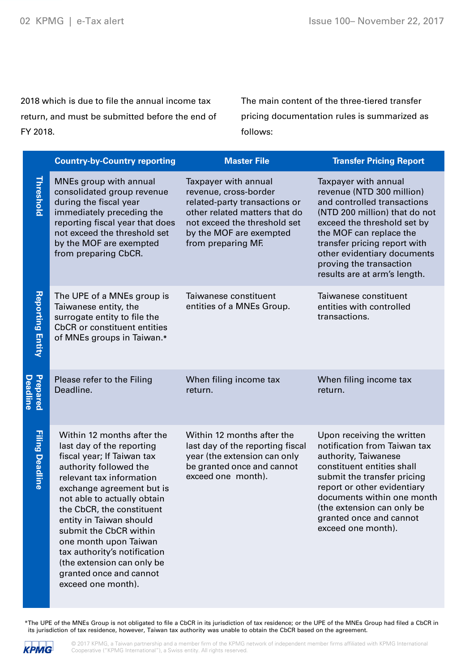2018 which is due to file the annual income tax return, and must be submitted before the end of FY 2018.

The main content of the three-tiered transfer pricing documentation rules is summarized as follows:

|                             | <b>Country-by-Country reporting</b>                                                                                                                                                                                                                                                                                                                                                                                               | <b>Master File</b>                                                                                                                                                                               | <b>Transfer Pricing Report</b>                                                                                                                                                                                                                                                                        |
|-----------------------------|-----------------------------------------------------------------------------------------------------------------------------------------------------------------------------------------------------------------------------------------------------------------------------------------------------------------------------------------------------------------------------------------------------------------------------------|--------------------------------------------------------------------------------------------------------------------------------------------------------------------------------------------------|-------------------------------------------------------------------------------------------------------------------------------------------------------------------------------------------------------------------------------------------------------------------------------------------------------|
| Threshold                   | MNEs group with annual<br>consolidated group revenue<br>during the fiscal year<br>immediately preceding the<br>reporting fiscal year that does<br>not exceed the threshold set<br>by the MOF are exempted<br>from preparing CbCR.                                                                                                                                                                                                 | Taxpayer with annual<br>revenue, cross-border<br>related-party transactions or<br>other related matters that do<br>not exceed the threshold set<br>by the MOF are exempted<br>from preparing MF. | Taxpayer with annual<br>revenue (NTD 300 million)<br>and controlled transactions<br>(NTD 200 million) that do not<br>exceed the threshold set by<br>the MOF can replace the<br>transfer pricing report with<br>other evidentiary documents<br>proving the transaction<br>results are at arm's length. |
| <b>Reporting Entity</b>     | The UPE of a MNEs group is<br>Taiwanese entity, the<br>surrogate entity to file the<br><b>CbCR</b> or constituent entities<br>of MNEs groups in Taiwan.*                                                                                                                                                                                                                                                                          | Taiwanese constituent<br>entities of a MNEs Group.                                                                                                                                               | Taiwanese constituent<br>entities with controlled<br>transactions.                                                                                                                                                                                                                                    |
| Prepared<br><b>Deadline</b> | Please refer to the Filing<br>Deadline.                                                                                                                                                                                                                                                                                                                                                                                           | When filing income tax<br>return.                                                                                                                                                                | When filing income tax<br>return.                                                                                                                                                                                                                                                                     |
| <b>Filing Deadline</b>      | Within 12 months after the<br>last day of the reporting<br>fiscal year; If Taiwan tax<br>authority followed the<br>relevant tax information<br>exchange agreement but is<br>not able to actually obtain<br>the CbCR, the constituent<br>entity in Taiwan should<br>submit the CbCR within<br>one month upon Taiwan<br>tax authority's notification<br>(the extension can only be<br>granted once and cannot<br>exceed one month). | Within 12 months after the<br>last day of the reporting fiscal<br>year (the extension can only<br>be granted once and cannot<br>exceed one month).                                               | Upon receiving the written<br>notification from Taiwan tax<br>authority, Taiwanese<br>constituent entities shall<br>submit the transfer pricing<br>report or other evidentiary<br>documents within one month<br>(the extension can only be<br>granted once and cannot<br>exceed one month).           |

\*The UPE of the MNEs Group is not obligated to file a CbCR in its jurisdiction of tax residence; or the UPE of the MNEs Group had filed a CbCR in its jurisdiction of tax residence, however, Taiwan tax authority was unable to obtain the CbCR based on the agreement.

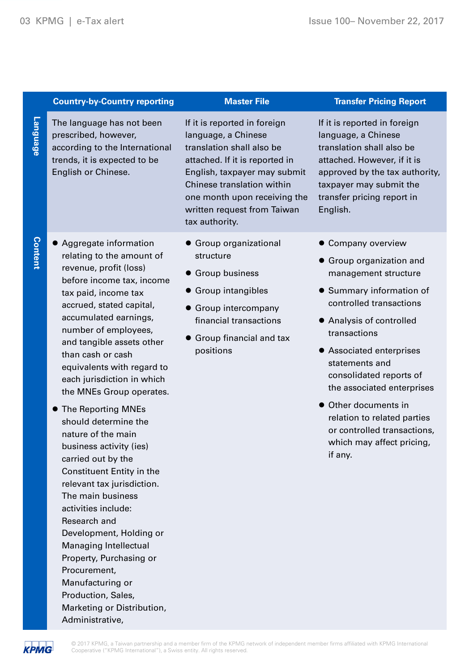|                 | <b>Country-by-Country reporting</b>                                                                                                                                                                                                                                                                                                                                                                                                                                                                                                                                                                                                                                                                                                                                                            | <b>Master File</b>                                                                                                                                                                                                                                                | <b>Transfer Pricing Report</b>                                                                                                                                                                                                                                                                                                                                                                               |
|-----------------|------------------------------------------------------------------------------------------------------------------------------------------------------------------------------------------------------------------------------------------------------------------------------------------------------------------------------------------------------------------------------------------------------------------------------------------------------------------------------------------------------------------------------------------------------------------------------------------------------------------------------------------------------------------------------------------------------------------------------------------------------------------------------------------------|-------------------------------------------------------------------------------------------------------------------------------------------------------------------------------------------------------------------------------------------------------------------|--------------------------------------------------------------------------------------------------------------------------------------------------------------------------------------------------------------------------------------------------------------------------------------------------------------------------------------------------------------------------------------------------------------|
| <b>Language</b> | The language has not been<br>prescribed, however,<br>according to the International<br>trends, it is expected to be<br>English or Chinese.                                                                                                                                                                                                                                                                                                                                                                                                                                                                                                                                                                                                                                                     | If it is reported in foreign<br>language, a Chinese<br>translation shall also be<br>attached. If it is reported in<br>English, taxpayer may submit<br>Chinese translation within<br>one month upon receiving the<br>written request from Taiwan<br>tax authority. | If it is reported in foreign<br>language, a Chinese<br>translation shall also be<br>attached. However, if it is<br>approved by the tax authority,<br>taxpayer may submit the<br>transfer pricing report in<br>English.                                                                                                                                                                                       |
| <b>Content</b>  | Aggregate information<br>relating to the amount of<br>revenue, profit (loss)<br>before income tax, income<br>tax paid, income tax<br>accrued, stated capital,<br>accumulated earnings,<br>number of employees,<br>and tangible assets other<br>than cash or cash<br>equivalents with regard to<br>each jurisdiction in which<br>the MNEs Group operates.<br>The Reporting MNEs<br>should determine the<br>nature of the main<br>business activity (ies)<br>carried out by the<br>Constituent Entity in the<br>relevant tax jurisdiction.<br>The main business<br>activities include:<br>Research and<br>Development, Holding or<br>Managing Intellectual<br>Property, Purchasing or<br>Procurement,<br>Manufacturing or<br>Production, Sales,<br>Marketing or Distribution,<br>Administrative, | • Group organizational<br>structure<br><b>• Group business</b><br><b>Group intangibles</b><br>Group intercompany<br>financial transactions<br>• Group financial and tax<br>positions                                                                              | • Company overview<br>• Group organization and<br>management structure<br>Summary information of<br>controlled transactions<br>• Analysis of controlled<br>transactions<br>• Associated enterprises<br>statements and<br>consolidated reports of<br>the associated enterprises<br>• Other documents in<br>relation to related parties<br>or controlled transactions,<br>which may affect pricing,<br>if any. |
|                 |                                                                                                                                                                                                                                                                                                                                                                                                                                                                                                                                                                                                                                                                                                                                                                                                |                                                                                                                                                                                                                                                                   |                                                                                                                                                                                                                                                                                                                                                                                                              |

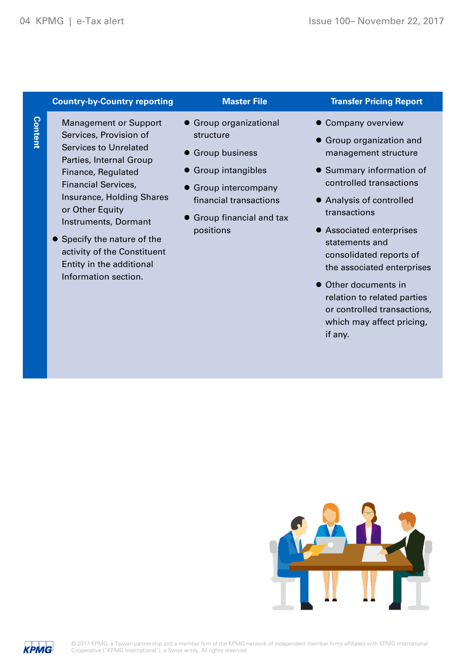# **Content**

#### **Country-by-Country reporting Transfer Pricing Report Report Report**

- Management or Support Services, Provision of Services to Unrelated Parties, Internal Group Finance, Regulated Financial Services, Insurance, Holding Shares or Other Equity Instruments, Dormant
- **•** Specify the nature of the activity of the Constituent Entity in the additional Information section.

- Group organizational structure
- **Group business**
- **Group intangibles**
- **Group intercompany** financial transactions
- **Group financial and tax** positions

- **Company overview**
- Group organization and management structure
- Summary information of controlled transactions
- Analysis of controlled transactions
- Associated enterprises statements and consolidated reports of the associated enterprises
- Other documents in relation to related parties or controlled transactions, which may affect pricing, if any.



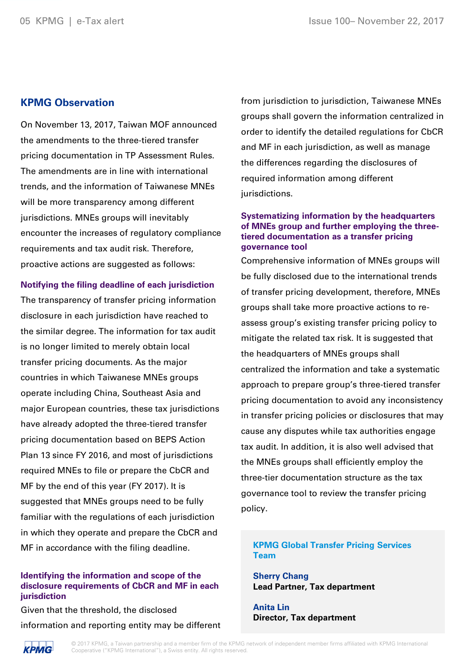#### **KPMG Observation**

On November 13, 2017, Taiwan MOF announced the amendments to the three-tiered transfer pricing documentation in TP Assessment Rules. The amendments are in line with international trends, and the information of Taiwanese MNEs will be more transparency among different jurisdictions. MNEs groups will inevitably encounter the increases of regulatory compliance requirements and tax audit risk. Therefore, proactive actions are suggested as follows:

#### **Notifying the filing deadline of each jurisdiction**

The transparency of transfer pricing information disclosure in each jurisdiction have reached to the similar degree. The information for tax audit is no longer limited to merely obtain local transfer pricing documents. As the major countries in which Taiwanese MNEs groups operate including China, Southeast Asia and major European countries, these tax jurisdictions have already adopted the three-tiered transfer pricing documentation based on BEPS Action Plan 13 since FY 2016, and most of jurisdictions required MNEs to file or prepare the CbCR and MF by the end of this year (FY 2017). It is suggested that MNEs groups need to be fully familiar with the regulations of each jurisdiction in which they operate and prepare the CbCR and MF in accordance with the filing deadline.

#### **Identifying the information and scope of the disclosure requirements of CbCR and MF in each jurisdiction**

Given that the threshold, the disclosed information and reporting entity may be different from jurisdiction to jurisdiction, Taiwanese MNEs groups shall govern the information centralized in order to identify the detailed regulations for CbCR and MF in each jurisdiction, as well as manage the differences regarding the disclosures of required information among different jurisdictions.

#### **Systematizing information by the headquarters of MNEs group and further employing the threetiered documentation as a transfer pricing governance tool**

Comprehensive information of MNEs groups will be fully disclosed due to the international trends of transfer pricing development, therefore, MNEs groups shall take more proactive actions to reassess group's existing transfer pricing policy to mitigate the related tax risk. It is suggested that the headquarters of MNEs groups shall centralized the information and take a systematic approach to prepare group's three-tiered transfer pricing documentation to avoid any inconsistency in transfer pricing policies or disclosures that may cause any disputes while tax authorities engage tax audit. In addition, it is also well advised that the MNEs groups shall efficiently employ the three-tier documentation structure as the tax governance tool to review the transfer pricing policy.

#### **KPMG Global Transfer Pricing Services Team**

**Sherry Chang Lead Partner, Tax department**

**Anita Lin Director, Tax department**